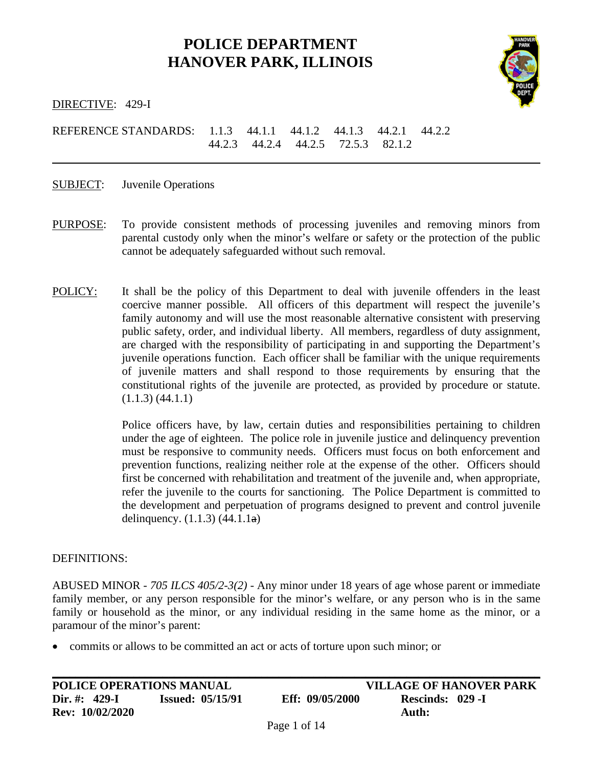# **POLICE DEPARTMENT HANOVER PARK, ILLINOIS**



DIRECTIVE: 429-I

REFERENCE STANDARDS: 1.1.3 44.1.1 44.1.2 44.1.3 44.2.1 44.2.2 44.2.3 44.2.4 44.2.5 72.5.3 82.1.2

SUBJECT: Juvenile Operations

- PURPOSE: To provide consistent methods of processing juveniles and removing minors from parental custody only when the minor's welfare or safety or the protection of the public cannot be adequately safeguarded without such removal.
- POLICY: It shall be the policy of this Department to deal with juvenile offenders in the least coercive manner possible. All officers of this department will respect the juvenile's family autonomy and will use the most reasonable alternative consistent with preserving public safety, order, and individual liberty. All members, regardless of duty assignment, are charged with the responsibility of participating in and supporting the Department's juvenile operations function. Each officer shall be familiar with the unique requirements of juvenile matters and shall respond to those requirements by ensuring that the constitutional rights of the juvenile are protected, as provided by procedure or statute. (1.1.3) (44.1.1)

Police officers have, by law, certain duties and responsibilities pertaining to children under the age of eighteen. The police role in juvenile justice and delinquency prevention must be responsive to community needs. Officers must focus on both enforcement and prevention functions, realizing neither role at the expense of the other. Officers should first be concerned with rehabilitation and treatment of the juvenile and, when appropriate, refer the juvenile to the courts for sanctioning. The Police Department is committed to the development and perpetuation of programs designed to prevent and control juvenile delinquency.  $(1.1.3)$   $(44.1.1a)$ 

#### DEFINITIONS:

ABUSED MINOR - *705 ILCS 405/2-3(2)* - Any minor under 18 years of age whose parent or immediate family member, or any person responsible for the minor's welfare, or any person who is in the same family or household as the minor, or any individual residing in the same home as the minor, or a paramour of the minor's parent:

• commits or allows to be committed an act or acts of torture upon such minor; or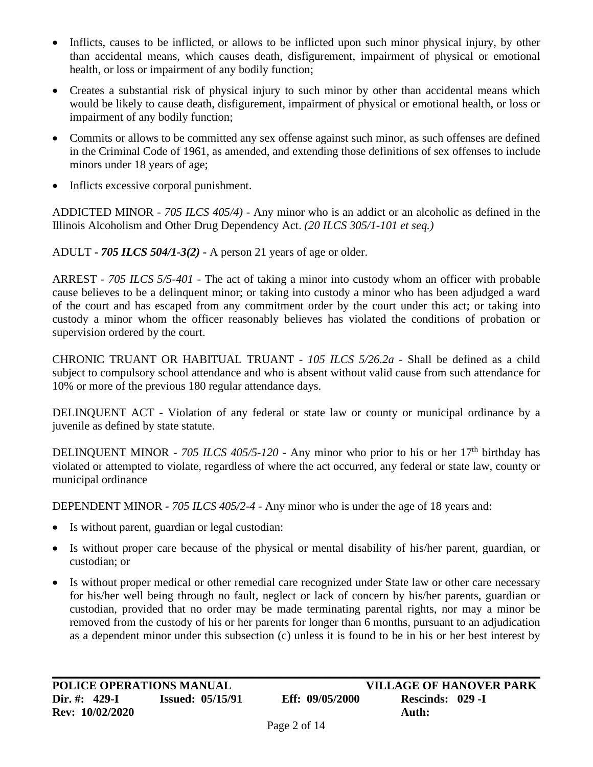- Inflicts, causes to be inflicted, or allows to be inflicted upon such minor physical injury, by other than accidental means, which causes death, disfigurement, impairment of physical or emotional health, or loss or impairment of any bodily function;
- Creates a substantial risk of physical injury to such minor by other than accidental means which would be likely to cause death, disfigurement, impairment of physical or emotional health, or loss or impairment of any bodily function;
- Commits or allows to be committed any sex offense against such minor, as such offenses are defined in the Criminal Code of 1961, as amended, and extending those definitions of sex offenses to include minors under 18 years of age;
- Inflicts excessive corporal punishment.

ADDICTED MINOR - *705 ILCS 405/4) -* Any minor who is an addict or an alcoholic as defined in the Illinois Alcoholism and Other Drug Dependency Act. *(20 ILCS 305/1-101 et seq.)*

ADULT **-** *705 ILCS 504/1-3(2)* **-** A person 21 years of age or older.

ARREST - *705 ILCS 5/5-401* - The act of taking a minor into custody whom an officer with probable cause believes to be a delinquent minor; or taking into custody a minor who has been adjudged a ward of the court and has escaped from any commitment order by the court under this act; or taking into custody a minor whom the officer reasonably believes has violated the conditions of probation or supervision ordered by the court.

CHRONIC TRUANT OR HABITUAL TRUANT - *105 ILCS 5/26.2a* - Shall be defined as a child subject to compulsory school attendance and who is absent without valid cause from such attendance for 10% or more of the previous 180 regular attendance days.

DELINQUENT ACT - Violation of any federal or state law or county or municipal ordinance by a juvenile as defined by state statute.

DELINQUENT MINOR - 705 ILCS 405/5-120 - Any minor who prior to his or her 17<sup>th</sup> birthday has violated or attempted to violate, regardless of where the act occurred, any federal or state law, county or municipal ordinance

DEPENDENT MINOR **-** *705 ILCS 405/2-4* - Any minor who is under the age of 18 years and:

- Is without parent, guardian or legal custodian:
- Is without proper care because of the physical or mental disability of his/her parent, guardian, or custodian; or
- Is without proper medical or other remedial care recognized under State law or other care necessary for his/her well being through no fault, neglect or lack of concern by his/her parents, guardian or custodian, provided that no order may be made terminating parental rights, nor may a minor be removed from the custody of his or her parents for longer than 6 months, pursuant to an adjudication as a dependent minor under this subsection (c) unless it is found to be in his or her best interest by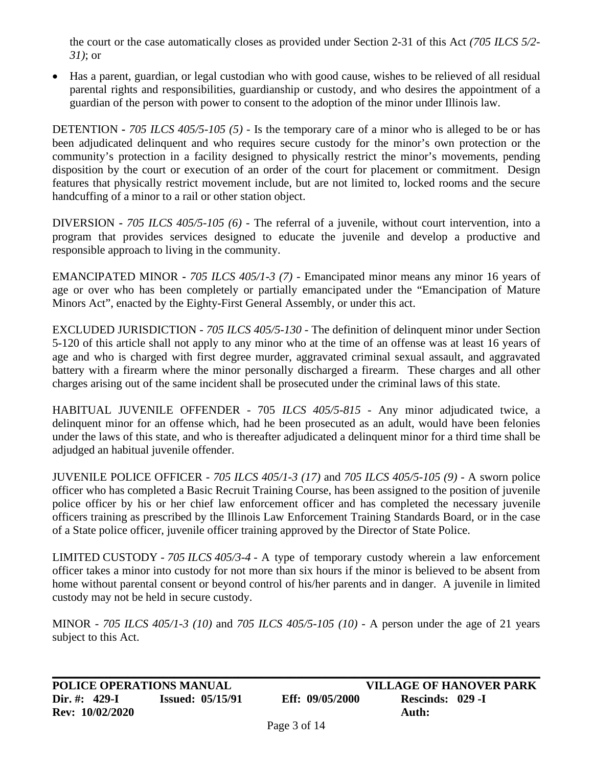the court or the case automatically closes as provided under Section 2-31 of this Act *(705 ILCS 5/2- 31)*; or

• Has a parent, guardian, or legal custodian who with good cause, wishes to be relieved of all residual parental rights and responsibilities, guardianship or custody, and who desires the appointment of a guardian of the person with power to consent to the adoption of the minor under Illinois law.

DETENTION **-** *705 ILCS 405/5-105 (5)* - Is the temporary care of a minor who is alleged to be or has been adjudicated delinquent and who requires secure custody for the minor's own protection or the community's protection in a facility designed to physically restrict the minor's movements, pending disposition by the court or execution of an order of the court for placement or commitment. Design features that physically restrict movement include, but are not limited to, locked rooms and the secure handcuffing of a minor to a rail or other station object.

DIVERSION **-** *705 ILCS 405/5-105 (6)* - The referral of a juvenile, without court intervention, into a program that provides services designed to educate the juvenile and develop a productive and responsible approach to living in the community.

EMANCIPATED MINOR **-** *705 ILCS 405/1-3 (7)* - Emancipated minor means any minor 16 years of age or over who has been completely or partially emancipated under the "Emancipation of Mature Minors Act", enacted by the Eighty-First General Assembly, or under this act.

EXCLUDED JURISDICTION - *705 ILCS 405/5-130* - The definition of delinquent minor under Section 5-120 of this article shall not apply to any minor who at the time of an offense was at least 16 years of age and who is charged with first degree murder, aggravated criminal sexual assault, and aggravated battery with a firearm where the minor personally discharged a firearm. These charges and all other charges arising out of the same incident shall be prosecuted under the criminal laws of this state.

HABITUAL JUVENILE OFFENDER - 705 *ILCS 405/5-815* - Any minor adjudicated twice, a delinquent minor for an offense which, had he been prosecuted as an adult, would have been felonies under the laws of this state, and who is thereafter adjudicated a delinquent minor for a third time shall be adjudged an habitual juvenile offender.

JUVENILE POLICE OFFICER - *705 ILCS 405/1-3 (17)* and *705 ILCS 405/5-105 (9)* - A sworn police officer who has completed a Basic Recruit Training Course, has been assigned to the position of juvenile police officer by his or her chief law enforcement officer and has completed the necessary juvenile officers training as prescribed by the Illinois Law Enforcement Training Standards Board, or in the case of a State police officer, juvenile officer training approved by the Director of State Police.

LIMITED CUSTODY - *705 ILCS 405/3-4* - A type of temporary custody wherein a law enforcement officer takes a minor into custody for not more than six hours if the minor is believed to be absent from home without parental consent or beyond control of his/her parents and in danger. A juvenile in limited custody may not be held in secure custody.

MINOR - *705 ILCS 405/1-3 (10)* and *705 ILCS 405/5-105 (10)* - A person under the age of 21 years subject to this Act.

**\_\_\_\_\_\_\_\_\_\_\_\_\_\_\_\_\_\_\_\_\_\_\_\_\_\_\_\_\_\_\_\_\_\_\_\_\_\_\_\_\_\_\_\_\_\_\_\_\_\_\_\_\_\_\_\_\_\_\_\_\_\_\_\_\_\_\_\_\_\_\_\_\_\_\_\_\_\_\_\_\_\_\_\_**

**Dir. #: 429-I Issued: 05/15/91 Eff: 09/05/2000 Rescinds: 029 -I Rev: 10/02/2020 Auth:**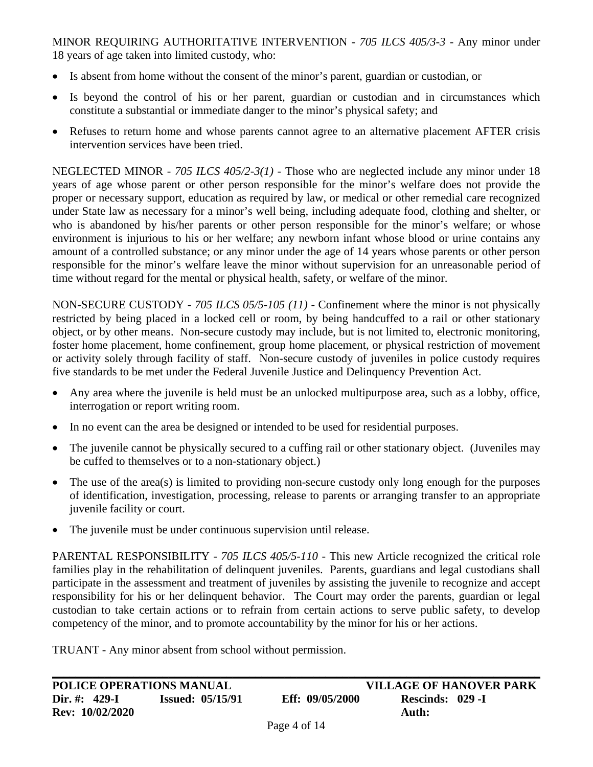MINOR REQUIRING AUTHORITATIVE INTERVENTION - *705 ILCS 405/3-3* - Any minor under 18 years of age taken into limited custody, who:

- Is absent from home without the consent of the minor's parent, guardian or custodian, or
- Is beyond the control of his or her parent, guardian or custodian and in circumstances which constitute a substantial or immediate danger to the minor's physical safety; and
- Refuses to return home and whose parents cannot agree to an alternative placement AFTER crisis intervention services have been tried.

NEGLECTED MINOR - *705 ILCS 405/2-3(1)* - Those who are neglected include any minor under 18 years of age whose parent or other person responsible for the minor's welfare does not provide the proper or necessary support, education as required by law, or medical or other remedial care recognized under State law as necessary for a minor's well being, including adequate food, clothing and shelter, or who is abandoned by his/her parents or other person responsible for the minor's welfare; or whose environment is injurious to his or her welfare; any newborn infant whose blood or urine contains any amount of a controlled substance; or any minor under the age of 14 years whose parents or other person responsible for the minor's welfare leave the minor without supervision for an unreasonable period of time without regard for the mental or physical health, safety, or welfare of the minor.

NON-SECURE CUSTODY - *705 ILCS 05/5-105 (11)* - Confinement where the minor is not physically restricted by being placed in a locked cell or room, by being handcuffed to a rail or other stationary object, or by other means. Non-secure custody may include, but is not limited to, electronic monitoring, foster home placement, home confinement, group home placement, or physical restriction of movement or activity solely through facility of staff. Non-secure custody of juveniles in police custody requires five standards to be met under the Federal Juvenile Justice and Delinquency Prevention Act.

- Any area where the juvenile is held must be an unlocked multipurpose area, such as a lobby, office, interrogation or report writing room.
- In no event can the area be designed or intended to be used for residential purposes.
- The juvenile cannot be physically secured to a cuffing rail or other stationary object. (Juveniles may be cuffed to themselves or to a non-stationary object.)
- The use of the area(s) is limited to providing non-secure custody only long enough for the purposes of identification, investigation, processing, release to parents or arranging transfer to an appropriate juvenile facility or court.
- The juvenile must be under continuous supervision until release.

PARENTAL RESPONSIBILITY - *705 ILCS 405/5-110* - This new Article recognized the critical role families play in the rehabilitation of delinquent juveniles. Parents, guardians and legal custodians shall participate in the assessment and treatment of juveniles by assisting the juvenile to recognize and accept responsibility for his or her delinquent behavior. The Court may order the parents, guardian or legal custodian to take certain actions or to refrain from certain actions to serve public safety, to develop competency of the minor, and to promote accountability by the minor for his or her actions.

TRUANT - Any minor absent from school without permission.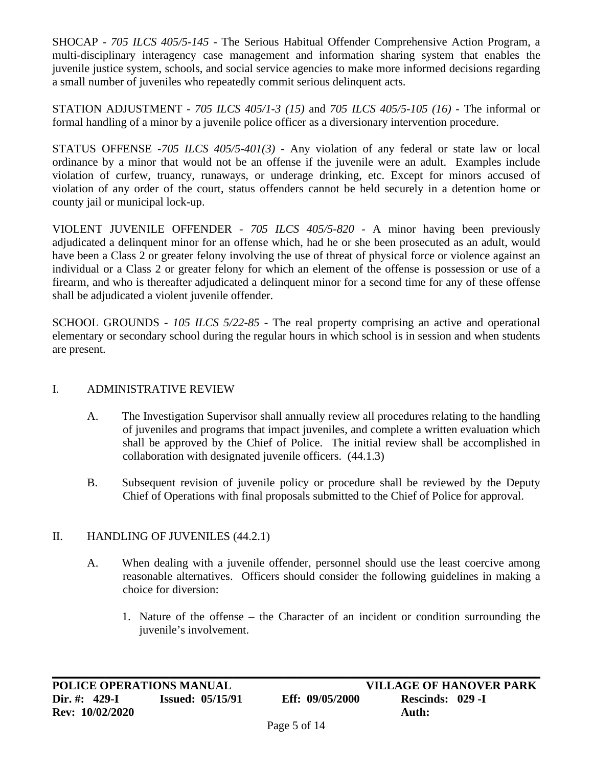SHOCAP - *705 ILCS 405/5-145* - The Serious Habitual Offender Comprehensive Action Program, a multi-disciplinary interagency case management and information sharing system that enables the juvenile justice system, schools, and social service agencies to make more informed decisions regarding a small number of juveniles who repeatedly commit serious delinquent acts.

STATION ADJUSTMENT - *705 ILCS 405/1-3 (15)* and *705 ILCS 405/5-105 (16)* - The informal or formal handling of a minor by a juvenile police officer as a diversionary intervention procedure.

STATUS OFFENSE -*705 ILCS 405/5-401(3)* - Any violation of any federal or state law or local ordinance by a minor that would not be an offense if the juvenile were an adult. Examples include violation of curfew, truancy, runaways, or underage drinking, etc. Except for minors accused of violation of any order of the court, status offenders cannot be held securely in a detention home or county jail or municipal lock-up.

VIOLENT JUVENILE OFFENDER - *705 ILCS 405/5-820* - A minor having been previously adjudicated a delinquent minor for an offense which, had he or she been prosecuted as an adult, would have been a Class 2 or greater felony involving the use of threat of physical force or violence against an individual or a Class 2 or greater felony for which an element of the offense is possession or use of a firearm, and who is thereafter adjudicated a delinquent minor for a second time for any of these offense shall be adjudicated a violent juvenile offender.

SCHOOL GROUNDS - *105 ILCS 5/22-85* - The real property comprising an active and operational elementary or secondary school during the regular hours in which school is in session and when students are present.

# I. ADMINISTRATIVE REVIEW

- A. The Investigation Supervisor shall annually review all procedures relating to the handling of juveniles and programs that impact juveniles, and complete a written evaluation which shall be approved by the Chief of Police. The initial review shall be accomplished in collaboration with designated juvenile officers. (44.1.3)
- B. Subsequent revision of juvenile policy or procedure shall be reviewed by the Deputy Chief of Operations with final proposals submitted to the Chief of Police for approval.

#### II. HANDLING OF JUVENILES (44.2.1)

- A. When dealing with a juvenile offender, personnel should use the least coercive among reasonable alternatives. Officers should consider the following guidelines in making a choice for diversion:
	- 1. Nature of the offense the Character of an incident or condition surrounding the juvenile's involvement.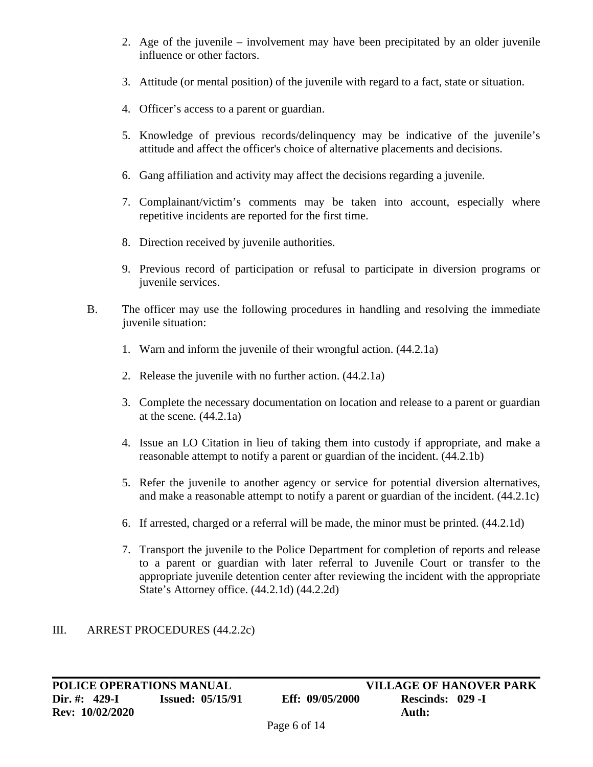- 2. Age of the juvenile involvement may have been precipitated by an older juvenile influence or other factors.
- 3. Attitude (or mental position) of the juvenile with regard to a fact, state or situation.
- 4. Officer's access to a parent or guardian.
- 5. Knowledge of previous records/delinquency may be indicative of the juvenile's attitude and affect the officer's choice of alternative placements and decisions.
- 6. Gang affiliation and activity may affect the decisions regarding a juvenile.
- 7. Complainant/victim's comments may be taken into account, especially where repetitive incidents are reported for the first time.
- 8. Direction received by juvenile authorities.
- 9. Previous record of participation or refusal to participate in diversion programs or juvenile services.
- B. The officer may use the following procedures in handling and resolving the immediate juvenile situation:
	- 1. Warn and inform the juvenile of their wrongful action. (44.2.1a)
	- 2. Release the juvenile with no further action. (44.2.1a)
	- 3. Complete the necessary documentation on location and release to a parent or guardian at the scene.  $(44.2.1a)$
	- 4. Issue an LO Citation in lieu of taking them into custody if appropriate, and make a reasonable attempt to notify a parent or guardian of the incident. (44.2.1b)
	- 5. Refer the juvenile to another agency or service for potential diversion alternatives, and make a reasonable attempt to notify a parent or guardian of the incident. (44.2.1c)
	- 6. If arrested, charged or a referral will be made, the minor must be printed. (44.2.1d)
	- 7. Transport the juvenile to the Police Department for completion of reports and release to a parent or guardian with later referral to Juvenile Court or transfer to the appropriate juvenile detention center after reviewing the incident with the appropriate State's Attorney office. (44.2.1d) (44.2.2d)

# III. ARREST PROCEDURES (44.2.2c)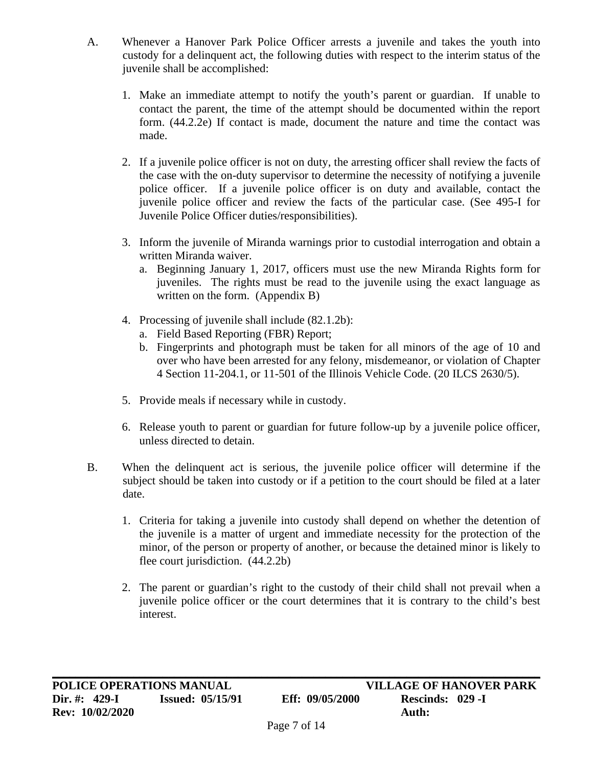- A. Whenever a Hanover Park Police Officer arrests a juvenile and takes the youth into custody for a delinquent act, the following duties with respect to the interim status of the juvenile shall be accomplished:
	- 1. Make an immediate attempt to notify the youth's parent or guardian. If unable to contact the parent, the time of the attempt should be documented within the report form. (44.2.2e) If contact is made, document the nature and time the contact was made.
	- 2. If a juvenile police officer is not on duty, the arresting officer shall review the facts of the case with the on-duty supervisor to determine the necessity of notifying a juvenile police officer. If a juvenile police officer is on duty and available, contact the juvenile police officer and review the facts of the particular case. (See 495-I for Juvenile Police Officer duties/responsibilities).
	- 3. Inform the juvenile of Miranda warnings prior to custodial interrogation and obtain a written Miranda waiver.
		- a. Beginning January 1, 2017, officers must use the new Miranda Rights form for juveniles. The rights must be read to the juvenile using the exact language as written on the form. (Appendix B)
	- 4. Processing of juvenile shall include (82.1.2b):
		- a. Field Based Reporting (FBR) Report;
		- b. Fingerprints and photograph must be taken for all minors of the age of 10 and over who have been arrested for any felony, misdemeanor, or violation of Chapter 4 Section 11-204.1, or 11-501 of the Illinois Vehicle Code. (20 ILCS 2630/5).
	- 5. Provide meals if necessary while in custody.
	- 6. Release youth to parent or guardian for future follow-up by a juvenile police officer, unless directed to detain.
- B. When the delinquent act is serious, the juvenile police officer will determine if the subject should be taken into custody or if a petition to the court should be filed at a later date.
	- 1. Criteria for taking a juvenile into custody shall depend on whether the detention of the juvenile is a matter of urgent and immediate necessity for the protection of the minor, of the person or property of another, or because the detained minor is likely to flee court jurisdiction. (44.2.2b)
	- 2. The parent or guardian's right to the custody of their child shall not prevail when a juvenile police officer or the court determines that it is contrary to the child's best interest.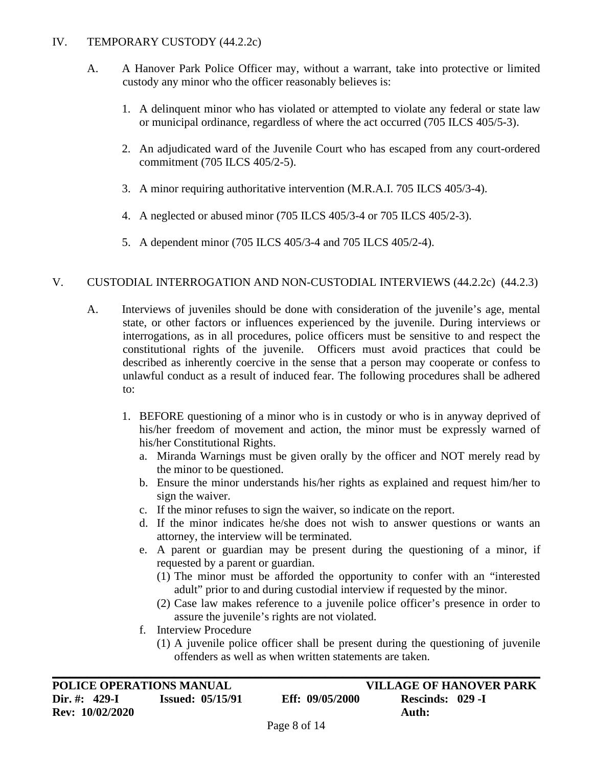#### IV. TEMPORARY CUSTODY (44.2.2c)

- A. A Hanover Park Police Officer may, without a warrant, take into protective or limited custody any minor who the officer reasonably believes is:
	- 1. A delinquent minor who has violated or attempted to violate any federal or state law or municipal ordinance, regardless of where the act occurred (705 ILCS 405/5-3).
	- 2. An adjudicated ward of the Juvenile Court who has escaped from any court-ordered commitment (705 ILCS 405/2-5).
	- 3. A minor requiring authoritative intervention (M.R.A.I. 705 ILCS 405/3-4).
	- 4. A neglected or abused minor (705 ILCS 405/3-4 or 705 ILCS 405/2-3).
	- 5. A dependent minor (705 ILCS 405/3-4 and 705 ILCS 405/2-4).

#### V. CUSTODIAL INTERROGATION AND NON-CUSTODIAL INTERVIEWS (44.2.2c) (44.2.3)

- A. Interviews of juveniles should be done with consideration of the juvenile's age, mental state, or other factors or influences experienced by the juvenile. During interviews or interrogations, as in all procedures, police officers must be sensitive to and respect the constitutional rights of the juvenile. Officers must avoid practices that could be described as inherently coercive in the sense that a person may cooperate or confess to unlawful conduct as a result of induced fear. The following procedures shall be adhered to:
	- 1. BEFORE questioning of a minor who is in custody or who is in anyway deprived of his/her freedom of movement and action, the minor must be expressly warned of his/her Constitutional Rights.
		- a. Miranda Warnings must be given orally by the officer and NOT merely read by the minor to be questioned.
		- b. Ensure the minor understands his/her rights as explained and request him/her to sign the waiver.
		- c. If the minor refuses to sign the waiver, so indicate on the report.
		- d. If the minor indicates he/she does not wish to answer questions or wants an attorney, the interview will be terminated.
		- e. A parent or guardian may be present during the questioning of a minor, if requested by a parent or guardian.
			- (1) The minor must be afforded the opportunity to confer with an "interested adult" prior to and during custodial interview if requested by the minor.
			- (2) Case law makes reference to a juvenile police officer's presence in order to assure the juvenile's rights are not violated.
		- f. Interview Procedure
			- (1) A juvenile police officer shall be present during the questioning of juvenile offenders as well as when written statements are taken.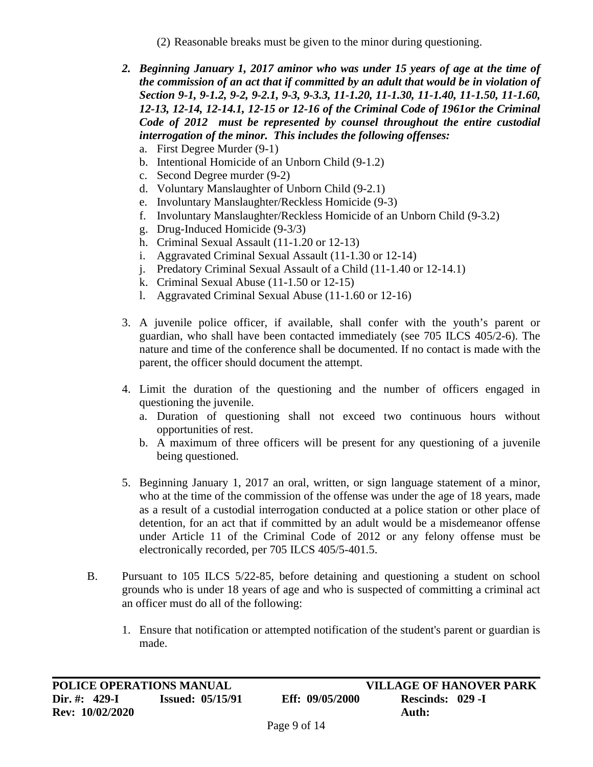- (2) Reasonable breaks must be given to the minor during questioning.
- *2. Beginning January 1, 2017 aminor who was under 15 years of age at the time of the commission of an act that if committed by an adult that would be in violation of Section 9-1, 9-1.2, 9-2, 9-2.1, 9-3, 9-3.3, 11-1.20, 11-1.30, 11-1.40, 11-1.50, 11-1.60, 12-13, 12-14, 12-14.1, 12-15 or 12-16 of the Criminal Code of 1961or the Criminal Code of 2012 must be represented by counsel throughout the entire custodial interrogation of the minor. This includes the following offenses:*
	- a. First Degree Murder (9-1)
	- b. Intentional Homicide of an Unborn Child (9-1.2)
	- c. Second Degree murder (9-2)
	- d. Voluntary Manslaughter of Unborn Child (9-2.1)
	- e. Involuntary Manslaughter/Reckless Homicide (9-3)
	- f. Involuntary Manslaughter/Reckless Homicide of an Unborn Child (9-3.2)
	- g. Drug-Induced Homicide (9-3/3)
	- h. Criminal Sexual Assault (11-1.20 or 12-13)
	- i. Aggravated Criminal Sexual Assault (11-1.30 or 12-14)
	- j. Predatory Criminal Sexual Assault of a Child (11-1.40 or 12-14.1)
	- k. Criminal Sexual Abuse (11-1.50 or 12-15)
	- l. Aggravated Criminal Sexual Abuse (11-1.60 or 12-16)
- 3. A juvenile police officer, if available, shall confer with the youth's parent or guardian, who shall have been contacted immediately (see 705 ILCS 405/2-6). The nature and time of the conference shall be documented. If no contact is made with the parent, the officer should document the attempt.
- 4. Limit the duration of the questioning and the number of officers engaged in questioning the juvenile.
	- a. Duration of questioning shall not exceed two continuous hours without opportunities of rest.
	- b. A maximum of three officers will be present for any questioning of a juvenile being questioned.
- 5. Beginning January 1, 2017 an oral, written, or sign language statement of a minor, who at the time of the commission of the offense was under the age of 18 years, made as a result of a custodial interrogation conducted at a police station or other place of detention, for an act that if committed by an adult would be a misdemeanor offense under Article 11 of the Criminal Code of 2012 or any felony offense must be electronically recorded, per 705 ILCS 405/5-401.5.
- B. Pursuant to 105 ILCS 5/22-85, before detaining and questioning a student on school grounds who is under 18 years of age and who is suspected of committing a criminal act an officer must do all of the following:
	- 1. Ensure that notification or attempted notification of the student's parent or guardian is made.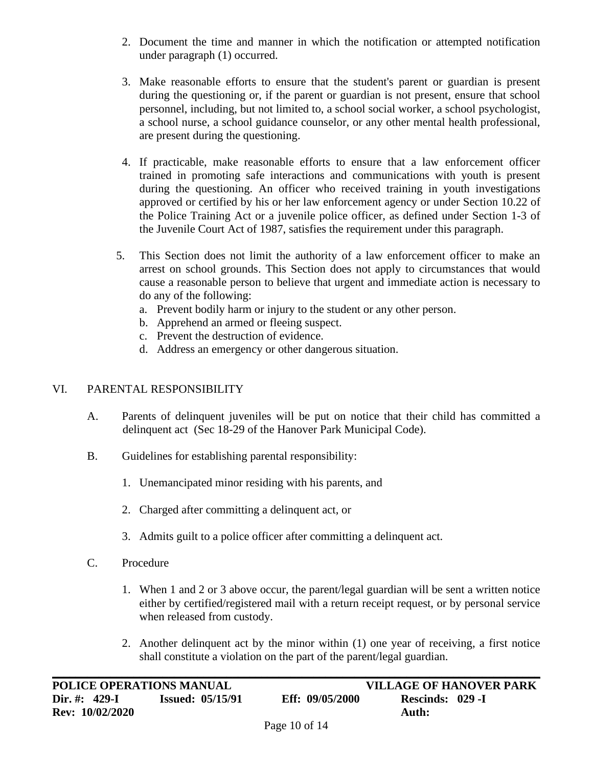- 2. Document the time and manner in which the notification or attempted notification under paragraph (1) occurred.
- 3. Make reasonable efforts to ensure that the student's parent or guardian is present during the questioning or, if the parent or guardian is not present, ensure that school personnel, including, but not limited to, a school social worker, a school psychologist, a school nurse, a school guidance counselor, or any other mental health professional, are present during the questioning.
- 4. If practicable, make reasonable efforts to ensure that a law enforcement officer trained in promoting safe interactions and communications with youth is present during the questioning. An officer who received training in youth investigations approved or certified by his or her law enforcement agency or under Section 10.22 of the Police Training Act or a juvenile police officer, as defined under Section 1-3 of the Juvenile Court Act of 1987, satisfies the requirement under this paragraph.
- 5. This Section does not limit the authority of a law enforcement officer to make an arrest on school grounds. This Section does not apply to circumstances that would cause a reasonable person to believe that urgent and immediate action is necessary to do any of the following:
	- a. Prevent bodily harm or injury to the student or any other person.
	- b. Apprehend an armed or fleeing suspect.
	- c. Prevent the destruction of evidence.
	- d. Address an emergency or other dangerous situation.

# VI. PARENTAL RESPONSIBILITY

- A. Parents of delinquent juveniles will be put on notice that their child has committed a delinquent act (Sec 18-29 of the Hanover Park Municipal Code).
- B. Guidelines for establishing parental responsibility:
	- 1. Unemancipated minor residing with his parents, and
	- 2. Charged after committing a delinquent act, or
	- 3. Admits guilt to a police officer after committing a delinquent act.
- C. Procedure
	- 1. When 1 and 2 or 3 above occur, the parent/legal guardian will be sent a written notice either by certified/registered mail with a return receipt request, or by personal service when released from custody.
	- 2. Another delinquent act by the minor within (1) one year of receiving, a first notice shall constitute a violation on the part of the parent/legal guardian.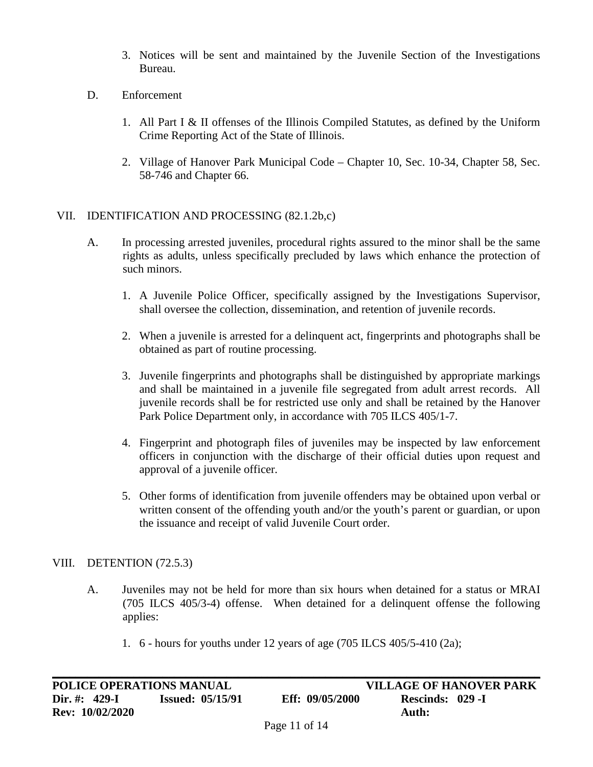- 3. Notices will be sent and maintained by the Juvenile Section of the Investigations Bureau.
- D. Enforcement
	- 1. All Part I & II offenses of the Illinois Compiled Statutes, as defined by the Uniform Crime Reporting Act of the State of Illinois.
	- 2. Village of Hanover Park Municipal Code Chapter 10, Sec. 10-34, Chapter 58, Sec. 58-746 and Chapter 66.

#### VII. IDENTIFICATION AND PROCESSING (82.1.2b,c)

- A. In processing arrested juveniles, procedural rights assured to the minor shall be the same rights as adults, unless specifically precluded by laws which enhance the protection of such minors.
	- 1. A Juvenile Police Officer, specifically assigned by the Investigations Supervisor, shall oversee the collection, dissemination, and retention of juvenile records.
	- 2. When a juvenile is arrested for a delinquent act, fingerprints and photographs shall be obtained as part of routine processing.
	- 3. Juvenile fingerprints and photographs shall be distinguished by appropriate markings and shall be maintained in a juvenile file segregated from adult arrest records. All juvenile records shall be for restricted use only and shall be retained by the Hanover Park Police Department only, in accordance with 705 ILCS 405/1-7.
	- 4. Fingerprint and photograph files of juveniles may be inspected by law enforcement officers in conjunction with the discharge of their official duties upon request and approval of a juvenile officer.
	- 5. Other forms of identification from juvenile offenders may be obtained upon verbal or written consent of the offending youth and/or the youth's parent or guardian, or upon the issuance and receipt of valid Juvenile Court order.

#### VIII. DETENTION (72.5.3)

- A. Juveniles may not be held for more than six hours when detained for a status or MRAI (705 ILCS 405/3-4) offense. When detained for a delinquent offense the following applies:
	- 1. 6 hours for youths under 12 years of age (705 ILCS 405/5-410 (2a);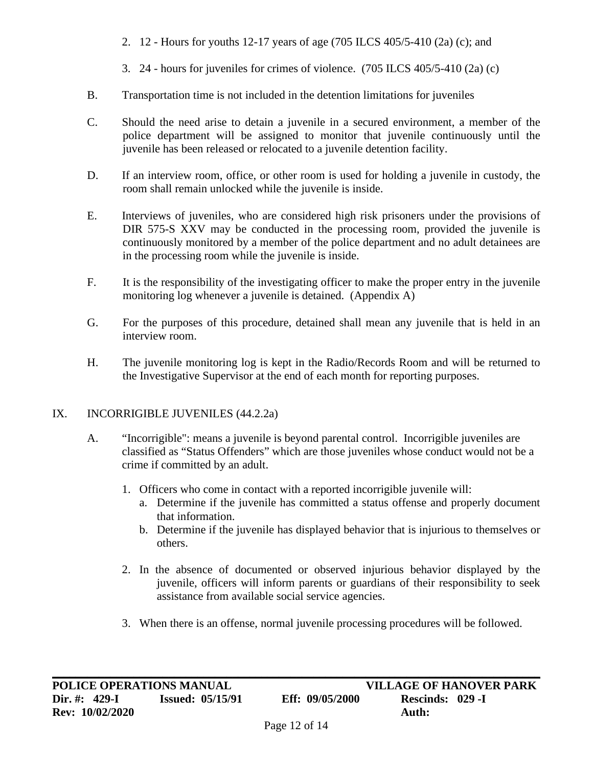- 2. 12 Hours for youths 12-17 years of age (705 ILCS 405/5-410 (2a) (c); and
- 3. 24 hours for juveniles for crimes of violence. (705 ILCS 405/5-410 (2a) (c)
- B. Transportation time is not included in the detention limitations for juveniles
- C. Should the need arise to detain a juvenile in a secured environment, a member of the police department will be assigned to monitor that juvenile continuously until the juvenile has been released or relocated to a juvenile detention facility.
- D. If an interview room, office, or other room is used for holding a juvenile in custody, the room shall remain unlocked while the juvenile is inside.
- E. Interviews of juveniles, who are considered high risk prisoners under the provisions of DIR 575-S XXV may be conducted in the processing room, provided the juvenile is continuously monitored by a member of the police department and no adult detainees are in the processing room while the juvenile is inside.
- F. It is the responsibility of the investigating officer to make the proper entry in the juvenile monitoring log whenever a juvenile is detained. (Appendix A)
- G. For the purposes of this procedure, detained shall mean any juvenile that is held in an interview room.
- H. The juvenile monitoring log is kept in the Radio/Records Room and will be returned to the Investigative Supervisor at the end of each month for reporting purposes.

# IX. INCORRIGIBLE JUVENILES (44.2.2a)

- A. "Incorrigible": means a juvenile is beyond parental control. Incorrigible juveniles are classified as "Status Offenders" which are those juveniles whose conduct would not be a crime if committed by an adult.
	- 1. Officers who come in contact with a reported incorrigible juvenile will:
		- a. Determine if the juvenile has committed a status offense and properly document that information.
		- b. Determine if the juvenile has displayed behavior that is injurious to themselves or others.
	- 2. In the absence of documented or observed injurious behavior displayed by the juvenile, officers will inform parents or guardians of their responsibility to seek assistance from available social service agencies.
	- 3. When there is an offense, normal juvenile processing procedures will be followed.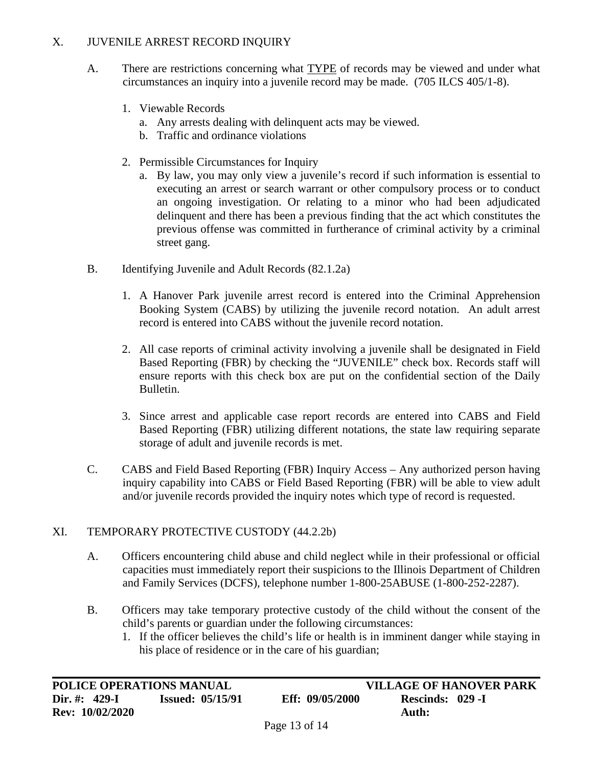#### X. JUVENILE ARREST RECORD INQUIRY

- A. There are restrictions concerning what TYPE of records may be viewed and under what circumstances an inquiry into a juvenile record may be made. (705 ILCS 405/1-8).
	- 1. Viewable Records
		- a. Any arrests dealing with delinquent acts may be viewed.
		- b. Traffic and ordinance violations
	- 2. Permissible Circumstances for Inquiry
		- a. By law, you may only view a juvenile's record if such information is essential to executing an arrest or search warrant or other compulsory process or to conduct an ongoing investigation. Or relating to a minor who had been adjudicated delinquent and there has been a previous finding that the act which constitutes the previous offense was committed in furtherance of criminal activity by a criminal street gang.
- B. Identifying Juvenile and Adult Records (82.1.2a)
	- 1. A Hanover Park juvenile arrest record is entered into the Criminal Apprehension Booking System (CABS) by utilizing the juvenile record notation. An adult arrest record is entered into CABS without the juvenile record notation.
	- 2. All case reports of criminal activity involving a juvenile shall be designated in Field Based Reporting (FBR) by checking the "JUVENILE" check box. Records staff will ensure reports with this check box are put on the confidential section of the Daily Bulletin.
	- 3. Since arrest and applicable case report records are entered into CABS and Field Based Reporting (FBR) utilizing different notations, the state law requiring separate storage of adult and juvenile records is met.
- C. CABS and Field Based Reporting (FBR) Inquiry Access Any authorized person having inquiry capability into CABS or Field Based Reporting (FBR) will be able to view adult and/or juvenile records provided the inquiry notes which type of record is requested.

# XI. TEMPORARY PROTECTIVE CUSTODY (44.2.2b)

- A. Officers encountering child abuse and child neglect while in their professional or official capacities must immediately report their suspicions to the Illinois Department of Children and Family Services (DCFS), telephone number 1-800-25ABUSE (1-800-252-2287).
- B. Officers may take temporary protective custody of the child without the consent of the child's parents or guardian under the following circumstances:
	- 1. If the officer believes the child's life or health is in imminent danger while staying in his place of residence or in the care of his guardian;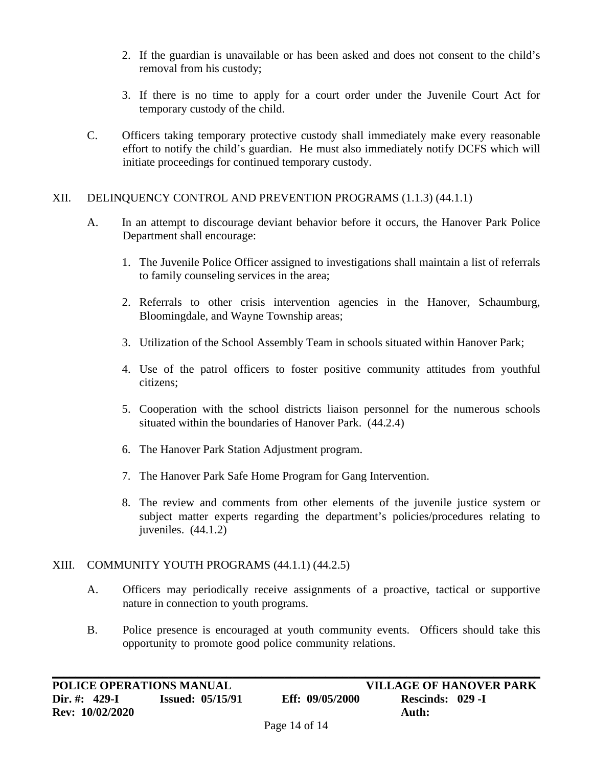- 2. If the guardian is unavailable or has been asked and does not consent to the child's removal from his custody;
- 3. If there is no time to apply for a court order under the Juvenile Court Act for temporary custody of the child.
- C. Officers taking temporary protective custody shall immediately make every reasonable effort to notify the child's guardian. He must also immediately notify DCFS which will initiate proceedings for continued temporary custody.

#### XII. DELINQUENCY CONTROL AND PREVENTION PROGRAMS (1.1.3) (44.1.1)

- A. In an attempt to discourage deviant behavior before it occurs, the Hanover Park Police Department shall encourage:
	- 1. The Juvenile Police Officer assigned to investigations shall maintain a list of referrals to family counseling services in the area;
	- 2. Referrals to other crisis intervention agencies in the Hanover, Schaumburg, Bloomingdale, and Wayne Township areas;
	- 3. Utilization of the School Assembly Team in schools situated within Hanover Park;
	- 4. Use of the patrol officers to foster positive community attitudes from youthful citizens;
	- 5. Cooperation with the school districts liaison personnel for the numerous schools situated within the boundaries of Hanover Park. (44.2.4)
	- 6. The Hanover Park Station Adjustment program.
	- 7. The Hanover Park Safe Home Program for Gang Intervention.
	- 8. The review and comments from other elements of the juvenile justice system or subject matter experts regarding the department's policies/procedures relating to juveniles. (44.1.2)

# XIII. COMMUNITY YOUTH PROGRAMS (44.1.1) (44.2.5)

- A. Officers may periodically receive assignments of a proactive, tactical or supportive nature in connection to youth programs.
- B. Police presence is encouraged at youth community events. Officers should take this opportunity to promote good police community relations. .